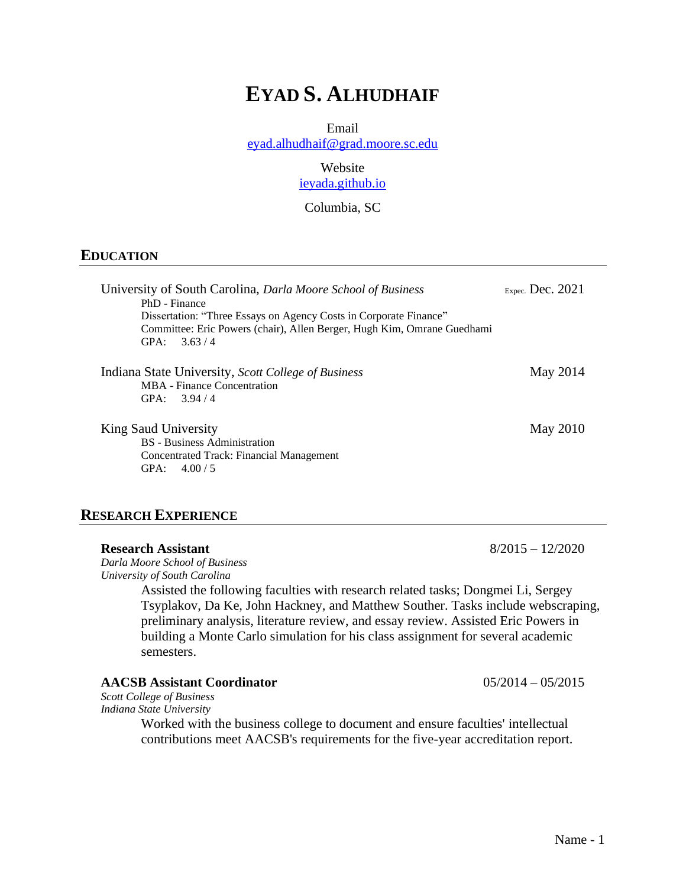# **EYAD S. ALHUDHAIF**

Email

[eyad.alhudhaif@grad.moore.sc.edu](mailto:eyad.alhudhaif@grad.moore.sc.edu)

Website [ieyada.github.io](/Users/laneygrubbs/Downloads/ieyada.github.io)

Columbia, SC

#### **EDUCATION**

| University of South Carolina, Darla Moore School of Business                              | Expec. Dec. $2021$ |
|-------------------------------------------------------------------------------------------|--------------------|
| PhD - Finance<br>Dissertation: "Three Essays on Agency Costs in Corporate Finance"        |                    |
| Committee: Eric Powers (chair), Allen Berger, Hugh Kim, Omrane Guedhami<br>GPA:<br>3.63/4 |                    |
| Indiana State University, Scott College of Business                                       | May 2014           |
| MBA - Finance Concentration<br>GPA:<br>3.94/4                                             |                    |
| King Saud University<br><b>BS</b> - Business Administration                               | May 2010           |
| Concentrated Track: Financial Management<br>GPA:<br>4.00 / 5                              |                    |

#### **RESEARCH EXPERIENCE**

### **Research Assistant** 8/2015 – 12/2020

*Darla Moore School of Business University of South Carolina*

> Assisted the following faculties with research related tasks; Dongmei Li, Sergey Tsyplakov, Da Ke, John Hackney, and Matthew Souther. Tasks include webscraping, preliminary analysis, literature review, and essay review. Assisted Eric Powers in building a Monte Carlo simulation for his class assignment for several academic semesters.

#### **AACSB Assistant Coordinator** 05/2014 – 05/2015

*Scott College of Business Indiana State University*

> Worked with the business college to document and ensure faculties' intellectual contributions meet AACSB's requirements for the five-year accreditation report.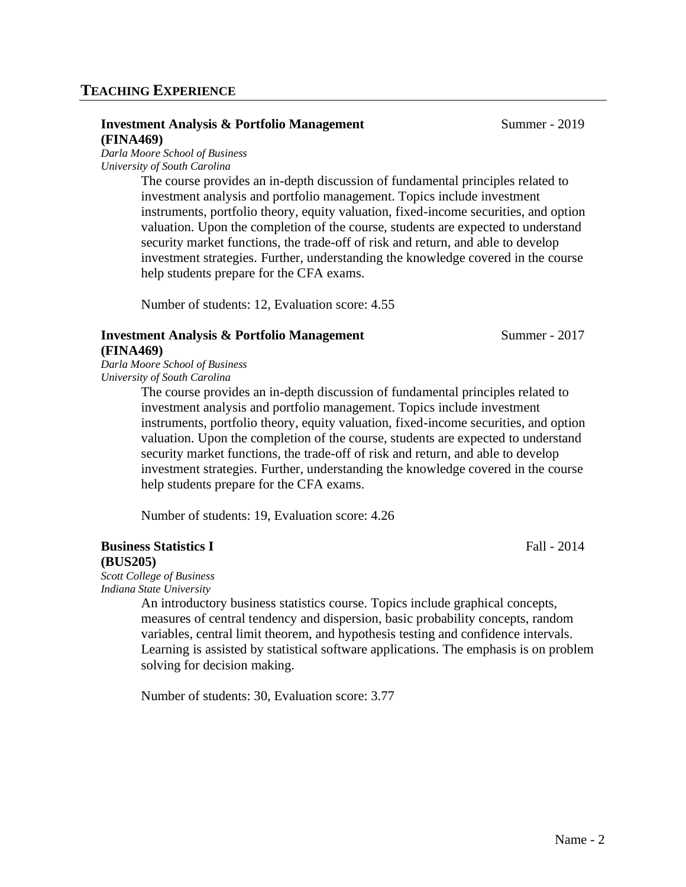# **TEACHING EXPERIENCE**

#### **Investment Analysis & Portfolio Management** Summer - 2019 **(FINA469)**

*Darla Moore School of Business University of South Carolina*

The course provides an in-depth discussion of fundamental principles related to investment analysis and portfolio management. Topics include investment instruments, portfolio theory, equity valuation, fixed-income securities, and option valuation. Upon the completion of the course, students are expected to understand security market functions, the trade-off of risk and return, and able to develop investment strategies. Further, understanding the knowledge covered in the course help students prepare for the CFA exams.

Number of students: 12, Evaluation score: 4.55

# **Investment Analysis & Portfolio Management** Summer - 2017 **(FINA469)**

*Darla Moore School of Business University of South Carolina*

> The course provides an in-depth discussion of fundamental principles related to investment analysis and portfolio management. Topics include investment instruments, portfolio theory, equity valuation, fixed-income securities, and option valuation. Upon the completion of the course, students are expected to understand security market functions, the trade-off of risk and return, and able to develop investment strategies. Further, understanding the knowledge covered in the course help students prepare for the CFA exams.

Number of students: 19, Evaluation score: 4.26

#### **Business Statistics I** Fall - 2014 **(BUS205)**

*Scott College of Business Indiana State University*

An introductory business statistics course. Topics include graphical concepts, measures of central tendency and dispersion, basic probability concepts, random variables, central limit theorem, and hypothesis testing and confidence intervals. Learning is assisted by statistical software applications. The emphasis is on problem solving for decision making.

Number of students: 30, Evaluation score: 3.77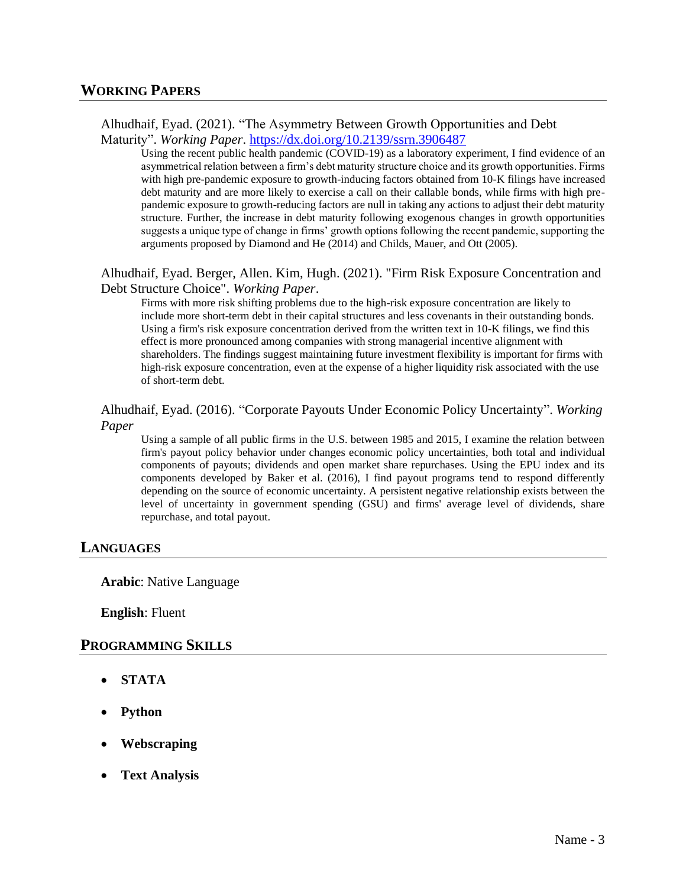Alhudhaif, Eyad. (2021). "The Asymmetry Between Growth Opportunities and Debt Maturity". *Working Paper*.<https://dx.doi.org/10.2139/ssrn.3906487>

Using the recent public health pandemic (COVID-19) as a laboratory experiment, I find evidence of an asymmetrical relation between a firm's debt maturity structure choice and its growth opportunities. Firms with high pre-pandemic exposure to growth-inducing factors obtained from 10-K filings have increased debt maturity and are more likely to exercise a call on their callable bonds, while firms with high prepandemic exposure to growth-reducing factors are null in taking any actions to adjust their debt maturity structure. Further, the increase in debt maturity following exogenous changes in growth opportunities suggests a unique type of change in firms' growth options following the recent pandemic, supporting the arguments proposed by Diamond and He (2014) and Childs, Mauer, and Ott (2005).

Alhudhaif, Eyad. Berger, Allen. Kim, Hugh. (2021). "Firm Risk Exposure Concentration and Debt Structure Choice". *Working Paper*.

Firms with more risk shifting problems due to the high-risk exposure concentration are likely to include more short-term debt in their capital structures and less covenants in their outstanding bonds. Using a firm's risk exposure concentration derived from the written text in 10-K filings, we find this effect is more pronounced among companies with strong managerial incentive alignment with shareholders. The findings suggest maintaining future investment flexibility is important for firms with high-risk exposure concentration, even at the expense of a higher liquidity risk associated with the use of short-term debt.

Alhudhaif, Eyad. (2016). "Corporate Payouts Under Economic Policy Uncertainty". *Working Paper*

Using a sample of all public firms in the U.S. between 1985 and 2015, I examine the relation between firm's payout policy behavior under changes economic policy uncertainties, both total and individual components of payouts; dividends and open market share repurchases. Using the EPU index and its components developed by Baker et al. (2016), I find payout programs tend to respond differently depending on the source of economic uncertainty. A persistent negative relationship exists between the level of uncertainty in government spending (GSU) and firms' average level of dividends, share repurchase, and total payout.

## **LANGUAGES**

**Arabic**: Native Language

**English**: Fluent

#### **PROGRAMMING SKILLS**

- **STATA**
- **Python**
- **Webscraping**
- **Text Analysis**